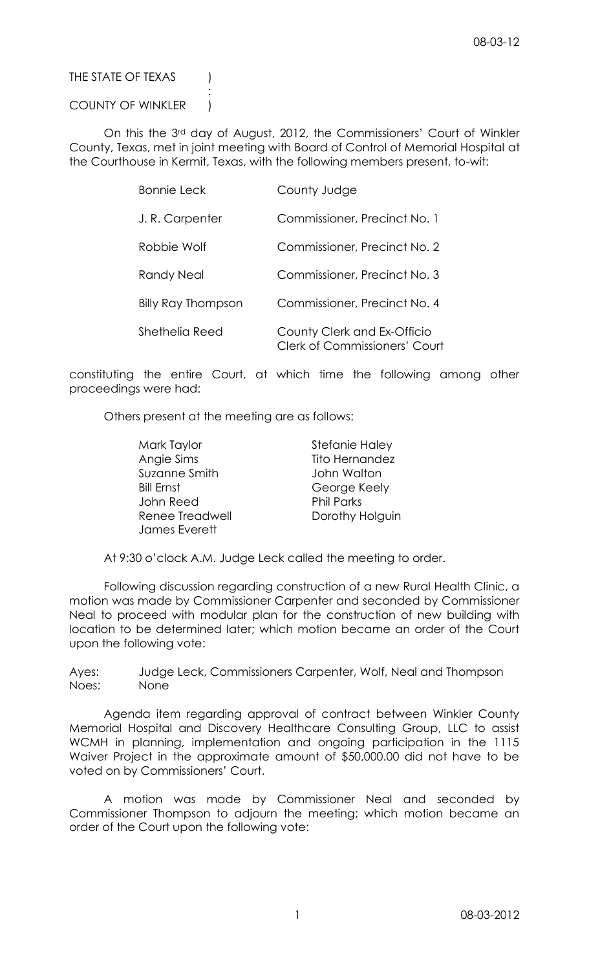## THE STATE OF TEXAS (

## COUNTY OF WINKLER )

:

On this the 3rd day of August, 2012, the Commissioners' Court of Winkler County, Texas, met in joint meeting with Board of Control of Memorial Hospital at the Courthouse in Kermit, Texas, with the following members present, to-wit:

| <b>Bonnie Leck</b>        | County Judge                                                 |
|---------------------------|--------------------------------------------------------------|
| J.R. Carpenter            | Commissioner, Precinct No. 1                                 |
| Robbie Wolf               | Commissioner, Precinct No. 2                                 |
| Randy Neal                | Commissioner, Precinct No. 3                                 |
| <b>Billy Ray Thompson</b> | Commissioner, Precinct No. 4                                 |
| Shethelia Reed            | County Clerk and Ex-Officio<br>Clerk of Commissioners' Court |

constituting the entire Court, at which time the following among other proceedings were had:

Others present at the meeting are as follows:

| Mark Taylor       | Stefanie Haley    |
|-------------------|-------------------|
| Angie Sims        | Tito Hernandez    |
| Suzanne Smith     | John Walton       |
| <b>Bill Ernst</b> | George Keely      |
| John Reed         | <b>Phil Parks</b> |
| Renee Treadwell   | Dorothy Holguin   |
| James Everett     |                   |

At 9:30 o'clock A.M. Judge Leck called the meeting to order.

Following discussion regarding construction of a new Rural Health Clinic, a motion was made by Commissioner Carpenter and seconded by Commissioner Neal to proceed with modular plan for the construction of new building with location to be determined later; which motion became an order of the Court upon the following vote:

Ayes: Judge Leck, Commissioners Carpenter, Wolf, Neal and Thompson Noes: None

Agenda item regarding approval of contract between Winkler County Memorial Hospital and Discovery Healthcare Consulting Group, LLC to assist WCMH in planning, implementation and ongoing participation in the 1115 Waiver Project in the approximate amount of \$50,000.00 did not have to be voted on by Commissioners' Court.

A motion was made by Commissioner Neal and seconded by Commissioner Thompson to adjourn the meeting; which motion became an order of the Court upon the following vote: